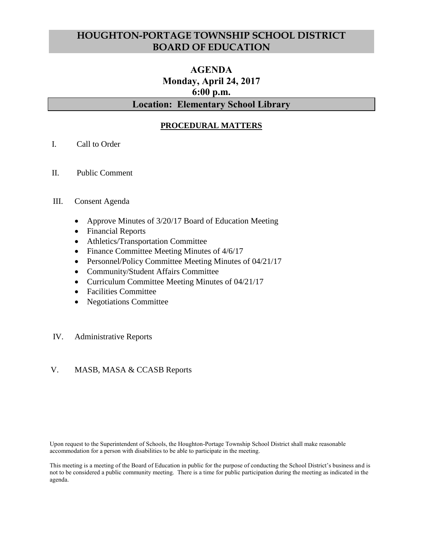# **HOUGHTON-PORTAGE TOWNSHIP SCHOOL DISTRICT BOARD OF EDUCATION**

# **AGENDA Monday, April 24, 2017 6:00 p.m.**

# **Location: Elementary School Library**

## **PROCEDURAL MATTERS**

- I. Call to Order
- II. Public Comment

#### III. Consent Agenda

- Approve Minutes of 3/20/17 Board of Education Meeting
- Financial Reports
- Athletics/Transportation Committee
- Finance Committee Meeting Minutes of  $4/6/17$
- Personnel/Policy Committee Meeting Minutes of 04/21/17
- Community/Student Affairs Committee
- Curriculum Committee Meeting Minutes of 04/21/17
- Facilities Committee
- Negotiations Committee

#### IV. Administrative Reports

#### V. MASB, MASA & CCASB Reports

Upon request to the Superintendent of Schools, the Houghton-Portage Township School District shall make reasonable accommodation for a person with disabilities to be able to participate in the meeting.

This meeting is a meeting of the Board of Education in public for the purpose of conducting the School District's business and is not to be considered a public community meeting. There is a time for public participation during the meeting as indicated in the agenda.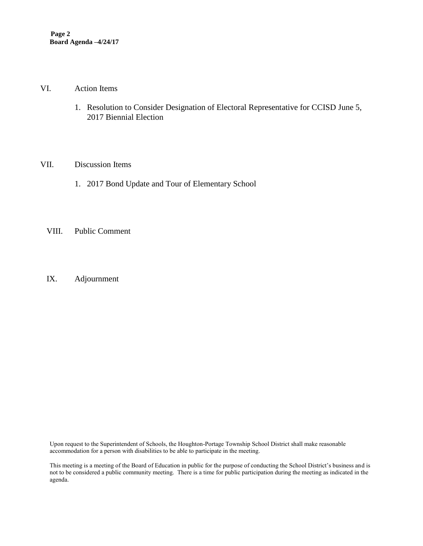#### VI. Action Items

1. Resolution to Consider Designation of Electoral Representative for CCISD June 5, 2017 Biennial Election

## VII. Discussion Items

- 1. 2017 Bond Update and Tour of Elementary School
- VIII. Public Comment
- IX. Adjournment

Upon request to the Superintendent of Schools, the Houghton-Portage Township School District shall make reasonable accommodation for a person with disabilities to be able to participate in the meeting.

This meeting is a meeting of the Board of Education in public for the purpose of conducting the School District's business and is not to be considered a public community meeting. There is a time for public participation during the meeting as indicated in the agenda.